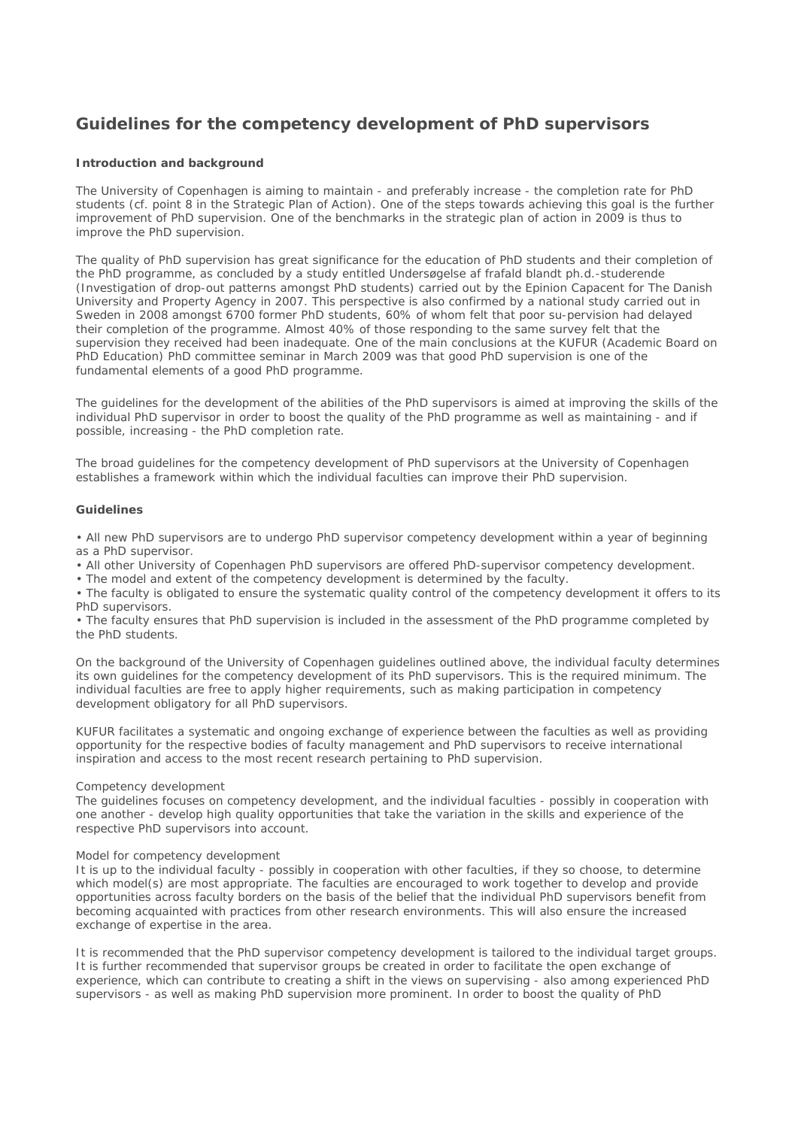# **Guidelines for the competency development of PhD supervisors**

# **Introduction and background**

The University of Copenhagen is aiming to maintain - and preferably increase - the completion rate for PhD students (cf. point 8 in the Strategic Plan of Action). One of the steps towards achieving this goal is the further improvement of PhD supervision. One of the benchmarks in the strategic plan of action in 2009 is thus to improve the PhD supervision.

The quality of PhD supervision has great significance for the education of PhD students and their completion of the PhD programme, as concluded by a study entitled *Undersøgelse af frafald blandt ph.d.-studerende* (Investigation of drop-out patterns amongst PhD students) carried out by the Epinion Capacent for The Danish University and Property Agency in 2007. This perspective is also confirmed by a national study carried out in Sweden in 2008 amongst 6700 former PhD students, 60% of whom felt that poor su-pervision had delayed their completion of the programme. Almost 40% of those responding to the same survey felt that the supervision they received had been inadequate. One of the main conclusions at the KUFUR (Academic Board on PhD Education) PhD committee seminar in March 2009 was that good PhD supervision is one of the fundamental elements of a good PhD programme.

The guidelines for the development of the abilities of the PhD supervisors is aimed at improving the skills of the individual PhD supervisor in order to boost the quality of the PhD programme as well as maintaining - and if possible, increasing - the PhD completion rate.

The broad guidelines for the competency development of PhD supervisors at the University of Copenhagen establishes a framework within which the individual faculties can improve their PhD supervision.

## **Guidelines**

• All new PhD supervisors are to undergo PhD supervisor competency development within a year of beginning as a PhD supervisor.

• All other University of Copenhagen PhD supervisors are offered PhD-supervisor competency development.

• The model and extent of the competency development is determined by the faculty.

• The faculty is obligated to ensure the systematic quality control of the competency development it offers to its PhD supervisors.

• The faculty ensures that PhD supervision is included in the assessment of the PhD programme completed by the PhD students.

On the background of the University of Copenhagen guidelines outlined above, the individual faculty determines its own guidelines for the competency development of its PhD supervisors. This is the required minimum. The individual faculties are free to apply higher requirements, such as making participation in competency development obligatory for all PhD supervisors.

KUFUR facilitates a systematic and ongoing exchange of experience between the faculties as well as providing opportunity for the respective bodies of faculty management and PhD supervisors to receive international inspiration and access to the most recent research pertaining to PhD supervision.

#### *Competency development*

The guidelines focuses on competency development, and the individual faculties - possibly in cooperation with one another - develop high quality opportunities that take the variation in the skills and experience of the respective PhD supervisors into account.

#### *Model for competency development*

It is up to the individual faculty - possibly in cooperation with other faculties, if they so choose, to determine which model(s) are most appropriate. The faculties are encouraged to work together to develop and provide opportunities across faculty borders on the basis of the belief that the individual PhD supervisors benefit from becoming acquainted with practices from other research environments. This will also ensure the increased exchange of expertise in the area.

It is recommended that the PhD supervisor competency development is tailored to the individual target groups. It is further recommended that supervisor groups be created in order to facilitate the open exchange of experience, which can contribute to creating a shift in the views on supervising - also among experienced PhD supervisors - as well as making PhD supervision more prominent. In order to boost the quality of PhD